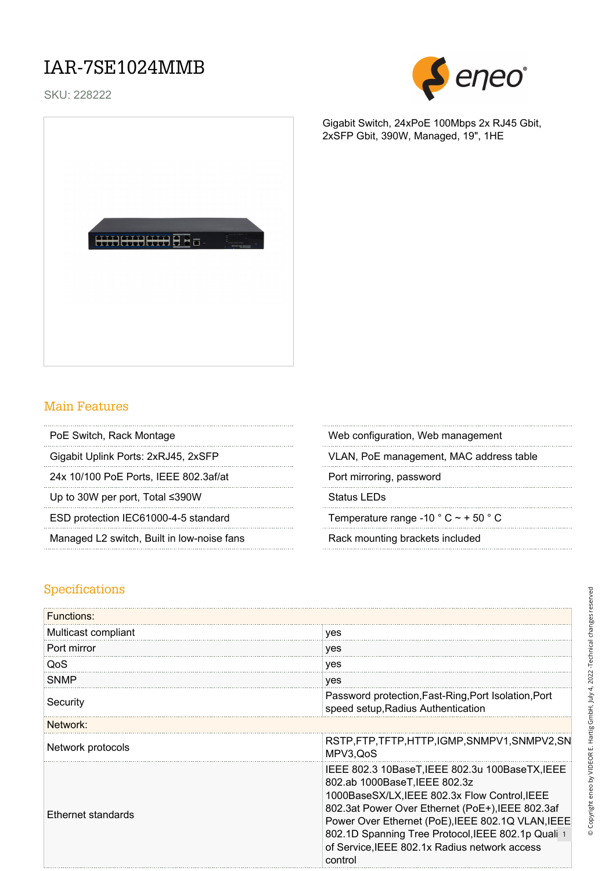### IAR-7SE1024MMB

SKU: 228222



Gigabit Switch, 24xPoE 100Mbps 2x RJ45 Gbit,

2xSFP Gbit, 390W, Managed, 19", 1HE



#### Main Features

24x 10/100 PoE Ports, IEEE 802.3af/at Port mirroring, password

Up to 30W per port, Total ≤390W Status LEDs

ESD protection IEC61000-4-5 standard Temperature range -10  $^{\circ}$  C  $\sim$  + 50  $^{\circ}$  C

Managed L2 switch, Built in low-noise fans Rack mounting brackets included

PoE Switch, Rack Montage Web configuration, Web management

Gigabit Uplink Ports: 2xRJ45, 2xSFP VLAN, PoE management, MAC address table

#### Specifications

| <b>Functions:</b>   |                                                                                                                                                                                                                                                                                                                                                              |
|---------------------|--------------------------------------------------------------------------------------------------------------------------------------------------------------------------------------------------------------------------------------------------------------------------------------------------------------------------------------------------------------|
| Multicast compliant | yes                                                                                                                                                                                                                                                                                                                                                          |
| Port mirror         | yes                                                                                                                                                                                                                                                                                                                                                          |
| QoS                 | yes                                                                                                                                                                                                                                                                                                                                                          |
| <b>SNMP</b>         | yes                                                                                                                                                                                                                                                                                                                                                          |
| Security            | Password protection, Fast-Ring, Port Isolation, Port<br>speed setup, Radius Authentication                                                                                                                                                                                                                                                                   |
| Network:            |                                                                                                                                                                                                                                                                                                                                                              |
| Network protocols   | RSTP,FTP,TFTP,HTTP,IGMP,SNMPV1,SNMPV2,SN<br>MPV3, QoS                                                                                                                                                                                                                                                                                                        |
| Ethernet standards  | IEEE 802.3 10BaseT, IEEE 802.3u 100BaseTX, IEEE<br>802.ab 1000BaseT, IEEE 802.3z<br>1000BaseSX/LX, IEEE 802.3x Flow Control, IEEE<br>802.3at Power Over Ethernet (PoE+), IEEE 802.3af<br>Power Over Ethernet (PoE), IEEE 802.1Q VLAN, IEEE<br>802.1D Spanning Tree Protocol, IEEE 802.1p Quali 1<br>of Service, IEEE 802.1x Radius network access<br>control |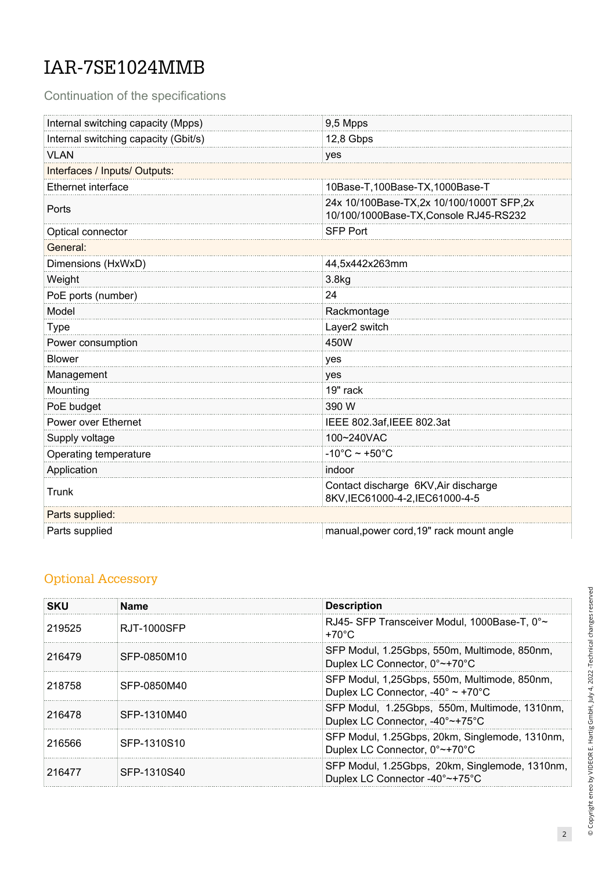# IAR-7SE1024MMB

Continuation of the specifications

| Internal switching capacity (Mpps)   | 9,5 Mpps                                                                           |  |
|--------------------------------------|------------------------------------------------------------------------------------|--|
| Internal switching capacity (Gbit/s) | 12,8 Gbps                                                                          |  |
| <b>VLAN</b>                          | yes                                                                                |  |
| Interfaces / Inputs/ Outputs:        |                                                                                    |  |
| Ethernet interface                   | 10Base-T,100Base-TX,1000Base-T                                                     |  |
| Ports                                | 24x 10/100Base-TX,2x 10/100/1000T SFP,2x<br>10/100/1000Base-TX, Console RJ45-RS232 |  |
| Optical connector                    | <b>SFP Port</b>                                                                    |  |
| General:                             |                                                                                    |  |
| Dimensions (HxWxD)                   | 44,5x442x263mm                                                                     |  |
| Weight                               | 3.8kg                                                                              |  |
| PoE ports (number)                   | 24                                                                                 |  |
| Model                                | Rackmontage                                                                        |  |
| <b>Type</b>                          | Layer2 switch                                                                      |  |
| Power consumption                    | 450W                                                                               |  |
| <b>Blower</b>                        | yes                                                                                |  |
| Management                           | yes                                                                                |  |
| Mounting                             | 19" rack                                                                           |  |
| PoE budget                           | 390 W                                                                              |  |
| Power over Ethernet                  | IEEE 802.3af, IEEE 802.3at                                                         |  |
| Supply voltage                       | 100~240VAC                                                                         |  |
| Operating temperature                | $-10^{\circ}$ C ~ +50 $^{\circ}$ C                                                 |  |
| Application                          | indoor                                                                             |  |
| Trunk                                | Contact discharge 6KV, Air discharge<br>8KV,IEC61000-4-2,IEC61000-4-5              |  |
| Parts supplied:                      |                                                                                    |  |
| Parts supplied                       | manual, power cord, 19" rack mount angle                                           |  |

### Optional Accessory

| <b>SKU</b> | <b>Name</b> | <b>Description</b>                                                                                    |
|------------|-------------|-------------------------------------------------------------------------------------------------------|
| 219525     | RJT-1000SFP | RJ45- SFP Transceiver Modul, 1000Base-T, 0°~<br>$+70^{\circ}$ C                                       |
| 216479     | SFP-0850M10 | SFP Modul, 1.25Gbps, 550m, Multimode, 850nm,<br>Duplex LC Connector, 0°~+70°C                         |
| 218758     | SFP-0850M40 | SFP Modul, 1,25Gbps, 550m, Multimode, 850nm,<br>Duplex LC Connector, $-40^{\circ} \sim +70^{\circ}$ C |
| 216478     | SFP-1310M40 | SFP Modul, 1.25Gbps, 550m, Multimode, 1310nm,<br>Duplex LC Connector, -40°~+75°C                      |
| 216566     | SFP-1310S10 | SFP Modul, 1.25Gbps, 20km, Singlemode, 1310nm,<br>Duplex LC Connector, 0°~+70°C                       |
| 216477     | SFP-1310S40 | SFP Modul, 1.25Gbps, 20km, Singlemode, 1310nm,<br>Duplex LC Connector -40°~+75°C                      |